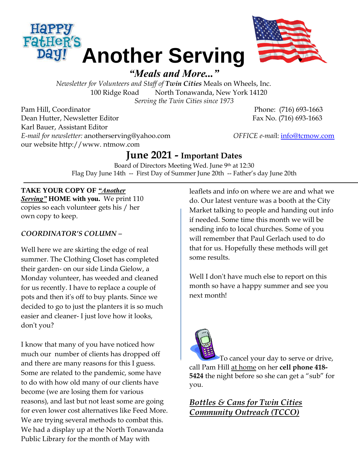



# *"Meals and More..."*

 *Newsletter for Volunteers and Staff of Twin Cities* Meals on Wheels, Inc. 100 Ridge Road North Tonawanda, New York 14120 *Serving the Twin Cities since 1973* 

Pam Hill, Coordinator Phone: (716) 693-1663 Dean Hutter, Newsletter Editor Fax No. (716) 693-1663 Karl Bauer, Assistant Editor *E-mail for newsletter:* anotherserving@yahoo.com *OFFICE e-mai*l: [info@tcmow.com](mailto:info@tcmow.com) our website http://www. ntmow.com

# **June 2021 - Important Dates**

Board of Directors Meeting Wed. June 9th at 12:30 Flag Day June 14th -- First Day of Summer June 20th -- Father's day June 20th

## **TAKE YOUR COPY OF** *"Another*

*Serving"* **HOME with you.** We print 110 copies so each volunteer gets his / her own copy to keep.

# *COORDINATOR'S COLUMN –*

Well here we are skirting the edge of real summer. The Clothing Closet has completed their garden- on our side Linda Gielow, a Monday volunteer, has weeded and cleaned for us recently. I have to replace a couple of pots and then it's off to buy plants. Since we decided to go to just the planters it is so much easier and cleaner- I just love how it looks, don't you?

I know that many of you have noticed how much our number of clients has dropped off and there are many reasons for this I guess. Some are related to the pandemic, some have to do with how old many of our clients have become (we are losing them for various reasons), and last but not least some are going for even lower cost alternatives like Feed More. We are trying several methods to combat this. We had a display up at the North Tonawanda Public Library for the month of May with

leaflets and info on where we are and what we do. Our latest venture was a booth at the City Market talking to people and handing out info if needed. Some time this month we will be sending info to local churches. Some of you will remember that Paul Gerlach used to do that for us. Hopefully these methods will get some results.

Well I don't have much else to report on this month so have a happy summer and see you next month!



To cancel your day to serve or drive, call Pam Hill at home on her **cell phone 418- 5424** the night before so she can get a "sub" for you.

*Bottles & Cans for Twin Cities Community Outreach (TCCO)*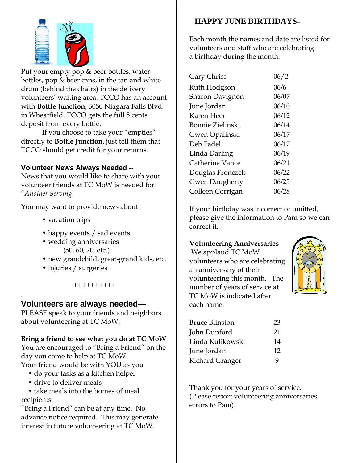

Put your empty pop & beer bottles, water bottles, pop & beer cans, in the tan and white drum (behind the chairs) in the delivery volunteers' waiting area. TCCO has an account with **Bottle Junction**, 3050 Niagara Falls Blvd. in Wheatfield. TCCO gets the full 5 cents deposit from every bottle.

If you choose to take your "empties" directly to **Bottle Junction**, just tell them that TCCO should get credit for your returns.

#### **Volunteer News Always Needed --**

News that you would like to share with your volunteer friends at TC MoW is needed for "*Another Serving*

You may want to provide news about:

- vacation trips
- happy events / sad events
- wedding anniversaries (50, 60, 70, etc.)
- new grandchild, great-grand kids, etc.
- injuries / surgeries

++++++++++

#### . **Volunteers are always needed**—

PLEASE speak to your friends and neighbors about volunteering at TC MoW.

## **Bring a friend to see what you do at TC MoW**

You are encouraged to "Bring a Friend" on the day you come to help at TC MoW.

- Your friend would be with YOU as you
	- do your tasks as a kitchen helper
	- drive to deliver meals

 • take meals into the homes of meal recipients

"Bring a Friend" can be at any time. No advance notice required. This may generate interest in future volunteering at TC MoW.

# **HAPPY JUNE BIRTHDAYS**–

Each month the names and date are listed for volunteers and staff who are celebrating a birthday during the month.

| Gary Chriss           | 06/2  |
|-----------------------|-------|
| Ruth Hodgson          | 06/6  |
| Sharon Davignon       | 06/07 |
| June Jordan           | 06/10 |
| Karen Heer            | 06/12 |
| Bonnie Zielinski      | 06/14 |
| Gwen Opalinski        | 06/17 |
| Deb Fadel             | 06/17 |
| Linda Darling         | 06/19 |
| Catherine Vance       | 06/21 |
| Douglas Fronczek      | 06/22 |
| <b>Gwen Daugherty</b> | 06/25 |
| Colleen Corrigan      | 06/28 |
|                       |       |

If your birthday was incorrect or omitted, please give the information to Pam so we can correct it.

### **Volunteering Anniversaries**

We applaud TC MoW volunteers who are celebrating an anniversary of their volunteering this month. The number of years of service at TC MoW is indicated after each name.



| <b>Bruce Blinston</b>  | 23 |
|------------------------|----|
| John Dunford           | 21 |
| Linda Kulikowski       | 14 |
| June Jordan            | 12 |
| <b>Richard Granger</b> | Q  |

Thank you for your years of service. (Please report volunteering anniversaries errors to Pam).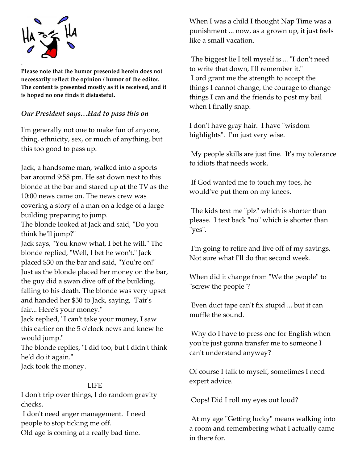

**Please note that the humor presented herein does not necessarily reflect the opinion / humor of the editor. The content is presented mostly as it is received, and it is hoped no one finds it distasteful.**

# *Our President says…Had to pass this on*

I'm generally not one to make fun of anyone, thing, ethnicity, sex, or much of anything, but this too good to pass up.

Jack, a handsome man, walked into a sports bar around 9:58 pm. He sat down next to this blonde at the bar and stared up at the TV as the 10:00 news came on. The news crew was covering a story of a man on a ledge of a large building preparing to jump.

The blonde looked at Jack and said, "Do you think he'll jump?"

Jack says, "You know what, I bet he will." The blonde replied, "Well, I bet he won't." Jack placed \$30 on the bar and said, "You're on!" Just as the blonde placed her money on the bar, the guy did a swan dive off of the building, falling to his death. The blonde was very upset and handed her \$30 to Jack, saying, "Fair's fair... Here's your money."

Jack replied, "I can't take your money, I saw this earlier on the 5 o'clock news and knew he would jump."

The blonde replies, "I did too; but I didn't think he'd do it again."

Jack took the money.

### LIFE

I don't trip over things, I do random gravity checks.

I don't need anger management. I need people to stop ticking me off. Old age is coming at a really bad time.

When I was a child I thought Nap Time was a punishment ... now, as a grown up, it just feels like a small vacation.

The biggest lie I tell myself is ... "I don't need to write that down, I'll remember it." Lord grant me the strength to accept the things I cannot change, the courage to change things I can and the friends to post my bail when I finally snap.

I don't have gray hair. I have "wisdom highlights". I'm just very wise.

My people skills are just fine. It's my tolerance to idiots that needs work.

If God wanted me to touch my toes, he would've put them on my knees.

The kids text me "plz" which is shorter than please. I text back "no" which is shorter than "yes".

I'm going to retire and live off of my savings. Not sure what I'll do that second week.

When did it change from "We the people" to "screw the people"?

Even duct tape can't fix stupid ... but it can muffle the sound.

Why do I have to press one for English when you're just gonna transfer me to someone I can't understand anyway?

Of course I talk to myself, sometimes I need expert advice.

Oops! Did I roll my eyes out loud?

At my age "Getting lucky" means walking into a room and remembering what I actually came in there for.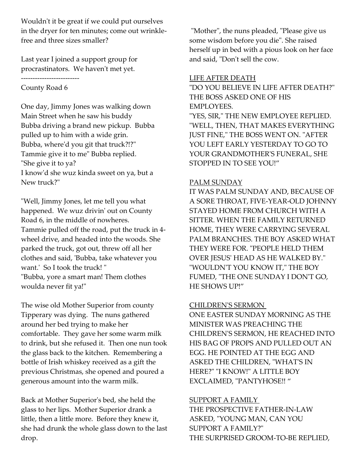Wouldn't it be great if we could put ourselves in the dryer for ten minutes; come out wrinklefree and three sizes smaller?

Last year I joined a support group for procrastinators. We haven't met yet.

#### ------------------------- County Road 6

One day, Jimmy Jones was walking down Main Street when he saw his buddy Bubba driving a brand new pickup. Bubba pulled up to him with a wide grin. Bubba, where'd you git that truck?!?" Tammie give it to me" Bubba replied. "She give it to ya? I know'd she wuz kinda sweet on ya, but a New truck?"

"Well, Jimmy Jones, let me tell you what happened. We wuz drivin' out on County Road 6, in the middle of nowheres. Tammie pulled off the road, put the truck in 4 wheel drive, and headed into the woods. She parked the truck, got out, threw off all her clothes and said, 'Bubba, take whatever you want.' So I took the truck! " "Bubba, yore a smart man! Them clothes woulda never fit ya!"

The wise old Mother Superior from county Tipperary was dying. The nuns gathered around her bed trying to make her comfortable. They gave her some warm milk to drink, but she refused it. Then one nun took the glass back to the kitchen. Remembering a bottle of Irish whiskey received as a gift the previous Christmas, she opened and poured a generous amount into the warm milk.

Back at Mother Superior's bed, she held the glass to her lips. Mother Superior drank a little, then a little more. Before they knew it, she had drunk the whole glass down to the last drop.

"Mother", the nuns pleaded, "Please give us some wisdom before you die". She raised herself up in bed with a pious look on her face and said, "Don't sell the cow.

#### LIFE AFTER DEATH

"DO YOU BELIEVE IN LIFE AFTER DEATH?" THE BOSS ASKED ONE OF HIS EMPLOYEES.

"YES, SIR," THE NEW EMPLOYEE REPLIED. "WELL, THEN, THAT MAKES EVERYTHING JUST FINE," THE BOSS WENT ON. "AFTER YOU LEFT EARLY YESTERDAY TO GO TO YOUR GRANDMOTHER'S FUNERAL, SHE STOPPED IN TO SEE YOU!"

### PALM SUNDAY

IT WAS PALM SUNDAY AND, BECAUSE OF A SORE THROAT, FIVE-YEAR-OLD JOHNNY STAYED HOME FROM CHURCH WITH A SITTER. WHEN THE FAMILY RETURNED HOME, THEY WERE CARRYING SEVERAL PALM BRANCHES. THE BOY ASKED WHAT THEY WERE FOR. "PEOPLE HELD THEM OVER JESUS' HEAD AS HE WALKED BY." "WOULDN'T YOU KNOW IT," THE BOY FUMED, "THE ONE SUNDAY I DON'T GO, HE SHOWS UP!"

### CHILDREN'S SERMON

ONE EASTER SUNDAY MORNING AS THE MINISTER WAS PREACHING THE CHILDREN'S SERMON, HE REACHED INTO HIS BAG OF PROPS AND PULLED OUT AN EGG. HE POINTED AT THE EGG AND ASKED THE CHILDREN, "WHAT'S IN HERE?" "I KNOW!" A LITTLE BOY EXCLAIMED, "PANTYHOSE!! "

### SUPPORT A FAMILY

THE PROSPECTIVE FATHER-IN-LAW ASKED, "YOUNG MAN, CAN YOU SUPPORT A FAMILY?" THE SURPRISED GROOM-TO-BE REPLIED,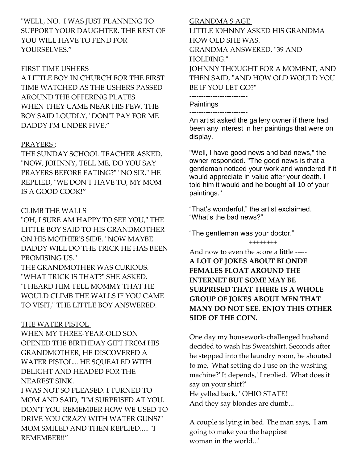"WELL, NO. I WAS JUST PLANNING TO SUPPORT YOUR DAUGHTER. THE REST OF YOU WILL HAVE TO FEND FOR YOURSELVES."

#### FIRST TIME USHERS

A LITTLE BOY IN CHURCH FOR THE FIRST TIME WATCHED AS THE USHERS PASSED AROUND THE OFFERING PLATES. WHEN THEY CAME NEAR HIS PEW, THE BOY SAID LOUDLY, "DON'T PAY FOR ME DADDY I'M UNDER FIVE."

### PRAYERS :

THE SUNDAY SCHOOL TEACHER ASKED, "NOW, JOHNNY, TELL ME, DO YOU SAY PRAYERS BEFORE EATING?" "NO SIR," HE REPLIED, "WE DON'T HAVE TO, MY MOM IS A GOOD COOK!"

### CLIMB THE WALLS

"OH, I SURE AM HAPPY TO SEE YOU," THE LITTLE BOY SAID TO HIS GRANDMOTHER ON HIS MOTHER'S SIDE. "NOW MAYBE DADDY WILL DO THE TRICK HE HAS BEEN PROMISING US."

THE GRANDMOTHER WAS CURIOUS. "WHAT TRICK IS THAT?" SHE ASKED. "I HEARD HIM TELL MOMMY THAT HE WOULD CLIMB THE WALLS IF YOU CAME TO VISIT," THE LITTLE BOY ANSWERED.

#### THE WATER PISTOL

WHEN MY THREE-YEAR-OLD SON OPENED THE BIRTHDAY GIFT FROM HIS GRANDMOTHER, HE DISCOVERED A WATER PISTOL... HE SOUEALED WITH DELIGHT AND HEADED FOR THE NEAREST SINK.

I WAS NOT SO PLEASED. I TURNED TO MOM AND SAID, "I'M SURPRISED AT YOU. DON'T YOU REMEMBER HOW WE USED TO DRIVE YOU CRAZY WITH WATER GUNS?" MOM SMILED AND THEN REPLIED..... "I REMEMBER!!"

#### GRANDMA'S AGE

LITTLE JOHNNY ASKED HIS GRANDMA HOW OLD SHE WAS. GRANDMA ANSWERED, "39 AND HOLDING." JOHNNY THOUGHT FOR A MOMENT, AND THEN SAID, "AND HOW OLD WOULD YOU BE IF YOU LET GO?" -------------------------

# Paintings

-------------------------

An artist asked the gallery owner if there had been any interest in her paintings that were on display.

"Well, I have good news and bad news," the owner responded. "The good news is that a gentleman noticed your work and wondered if it would appreciate in value after your death. I told him it would and he bought all 10 of your paintings."

"That's wonderful," the artist exclaimed. "What's the bad news?"

"The gentleman was your doctor." ++++++++

And now to even the score a little ----- **A LOT OF JOKES ABOUT BLONDE FEMALES FLOAT AROUND THE INTERNET BUT SOME MAY BE SURPRISED THAT THERE IS A WHOLE GROUP OF JOKES ABOUT MEN THAT MANY DO NOT SEE. ENJOY THIS OTHER SIDE OF THE COIN.**

One day my housework-challenged husband decided to wash his Sweatshirt. Seconds after he stepped into the laundry room, he shouted to me, 'What setting do I use on the washing machine?''It depends,' I replied. 'What does it say on your shirt?' He yelled back, ' OHIO STATE!'

And they say blondes are dumb...

A couple is lying in bed. The man says, 'I am going to make you the happiest woman in the world.<sup>'</sup>